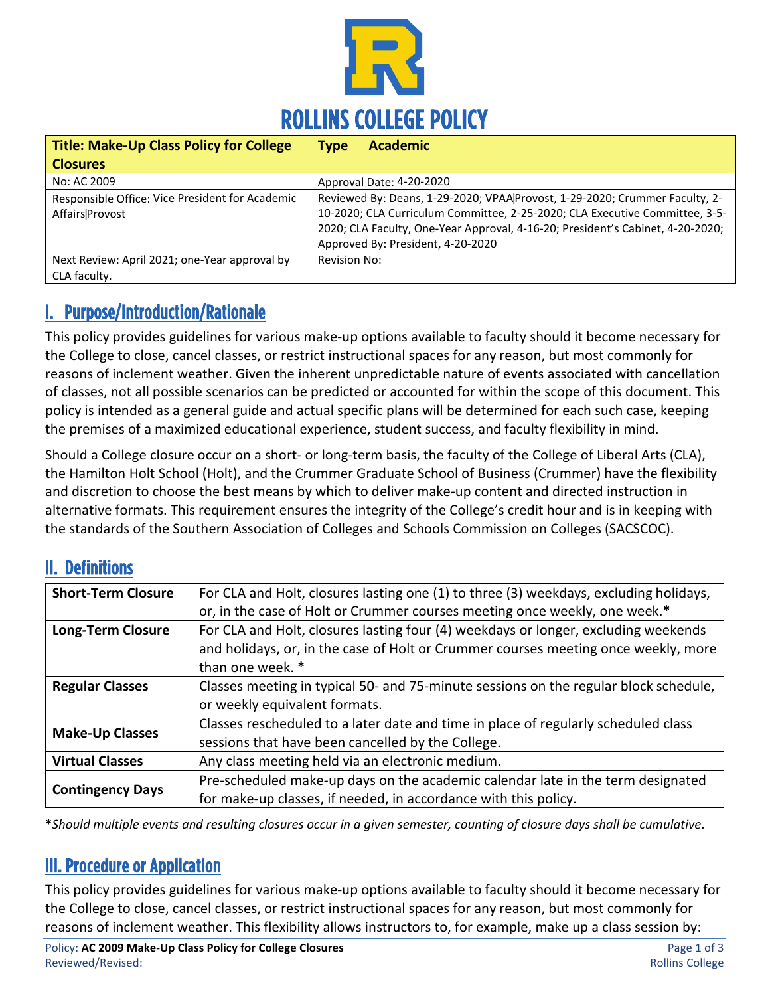

| <b>Title: Make-Up Class Policy for College</b>  | <b>Type</b>                                                                    | <b>Academic</b>                   |
|-------------------------------------------------|--------------------------------------------------------------------------------|-----------------------------------|
| <b>Closures</b>                                 |                                                                                |                                   |
| No: AC 2009                                     | Approval Date: 4-20-2020                                                       |                                   |
| Responsible Office: Vice President for Academic | Reviewed By: Deans, 1-29-2020; VPAA Provost, 1-29-2020; Crummer Faculty, 2-    |                                   |
| Affairs Provost                                 | 10-2020; CLA Curriculum Committee, 2-25-2020; CLA Executive Committee, 3-5-    |                                   |
|                                                 | 2020; CLA Faculty, One-Year Approval, 4-16-20; President's Cabinet, 4-20-2020; |                                   |
|                                                 |                                                                                | Approved By: President, 4-20-2020 |
| Next Review: April 2021; one-Year approval by   | Revision No:                                                                   |                                   |
| CLA faculty.                                    |                                                                                |                                   |

# I. Purpose/Introduction/Rationale

This policy provides guidelines for various make-up options available to faculty should it become necessary for the College to close, cancel classes, or restrict instructional spaces for any reason, but most commonly for reasons of inclement weather. Given the inherent unpredictable nature of events associated with cancellation of classes, not all possible scenarios can be predicted or accounted for within the scope of this document. This policy is intended as a general guide and actual specific plans will be determined for each such case, keeping the premises of a maximized educational experience, student success, and faculty flexibility in mind.

Should a College closure occur on a short- or long-term basis, the faculty of the College of Liberal Arts (CLA), the Hamilton Holt School (Holt), and the Crummer Graduate School of Business (Crummer) have the flexibility and discretion to choose the best means by which to deliver make-up content and directed instruction in alternative formats. This requirement ensures the integrity of the College's credit hour and is in keeping with the standards of the Southern Association of Colleges and Schools Commission on Colleges (SACSCOC).

## II. Definitions

| <b>Short-Term Closure</b> | For CLA and Holt, closures lasting one (1) to three (3) weekdays, excluding holidays, |  |
|---------------------------|---------------------------------------------------------------------------------------|--|
|                           | or, in the case of Holt or Crummer courses meeting once weekly, one week.*            |  |
| <b>Long-Term Closure</b>  | For CLA and Holt, closures lasting four (4) weekdays or longer, excluding weekends    |  |
|                           | and holidays, or, in the case of Holt or Crummer courses meeting once weekly, more    |  |
|                           | than one week. *                                                                      |  |
| <b>Regular Classes</b>    | Classes meeting in typical 50- and 75-minute sessions on the regular block schedule,  |  |
|                           | or weekly equivalent formats.                                                         |  |
| <b>Make-Up Classes</b>    | Classes rescheduled to a later date and time in place of regularly scheduled class    |  |
|                           | sessions that have been cancelled by the College.                                     |  |
| <b>Virtual Classes</b>    | Any class meeting held via an electronic medium.                                      |  |
| <b>Contingency Days</b>   | Pre-scheduled make-up days on the academic calendar late in the term designated       |  |
|                           | for make-up classes, if needed, in accordance with this policy.                       |  |

**\****Should multiple events and resulting closures occur in a given semester, counting of closure days shall be cumulative*.

#### III. Procedure or Application

This policy provides guidelines for various make-up options available to faculty should it become necessary for the College to close, cancel classes, or restrict instructional spaces for any reason, but most commonly for reasons of inclement weather. This flexibility allows instructors to, for example, make up a class session by: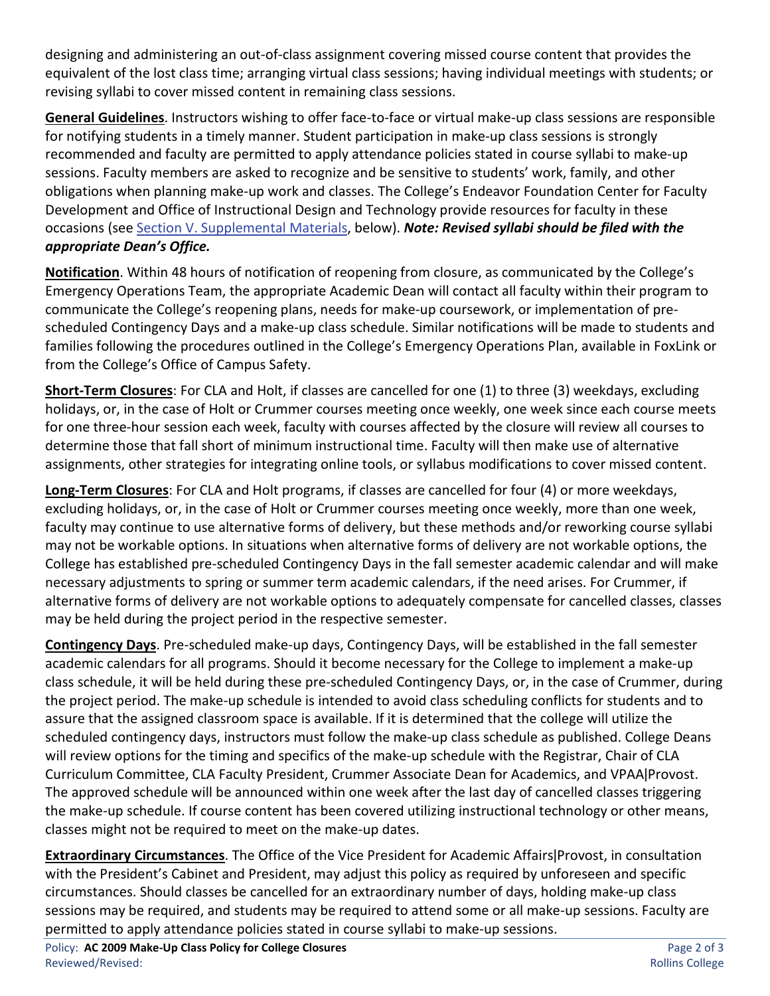designing and administering an out-of-class assignment covering missed course content that provides the equivalent of the lost class time; arranging virtual class sessions; having individual meetings with students; or revising syllabi to cover missed content in remaining class sessions.

**General Guidelines**. Instructors wishing to offer face-to-face or virtual make-up class sessions are responsible for notifying students in a timely manner. Student participation in make-up class sessions is strongly recommended and faculty are permitted to apply attendance policies stated in course syllabi to make-up sessions. Faculty members are asked to recognize and be sensitive to students' work, family, and other obligations when planning make-up work and classes. The College's Endeavor Foundation Center for Faculty Development and Office of Instructional Design and Technology provide resources for faculty in these occasions (se[e Section V. Supplemental Materials,](#page-2-0) below). *Note: Revised syllabi should be filed with the appropriate Dean's Office.*

**Notification**. Within 48 hours of notification of reopening from closure, as communicated by the College's Emergency Operations Team, the appropriate Academic Dean will contact all faculty within their program to communicate the College's reopening plans, needs for make-up coursework, or implementation of prescheduled Contingency Days and a make-up class schedule. Similar notifications will be made to students and families following the procedures outlined in the College's Emergency Operations Plan, available in FoxLink or from the College's Office of Campus Safety.

**Short-Term Closures**: For CLA and Holt, if classes are cancelled for one (1) to three (3) weekdays, excluding holidays, or, in the case of Holt or Crummer courses meeting once weekly, one week since each course meets for one three-hour session each week, faculty with courses affected by the closure will review all courses to determine those that fall short of minimum instructional time. Faculty will then make use of alternative assignments, other strategies for integrating online tools, or syllabus modifications to cover missed content.

**Long-Term Closures**: For CLA and Holt programs, if classes are cancelled for four (4) or more weekdays, excluding holidays, or, in the case of Holt or Crummer courses meeting once weekly, more than one week, faculty may continue to use alternative forms of delivery, but these methods and/or reworking course syllabi may not be workable options. In situations when alternative forms of delivery are not workable options, the College has established pre-scheduled Contingency Days in the fall semester academic calendar and will make necessary adjustments to spring or summer term academic calendars, if the need arises. For Crummer, if alternative forms of delivery are not workable options to adequately compensate for cancelled classes, classes may be held during the project period in the respective semester.

**Contingency Days**. Pre-scheduled make-up days, Contingency Days, will be established in the fall semester academic calendars for all programs. Should it become necessary for the College to implement a make-up class schedule, it will be held during these pre-scheduled Contingency Days, or, in the case of Crummer, during the project period. The make-up schedule is intended to avoid class scheduling conflicts for students and to assure that the assigned classroom space is available. If it is determined that the college will utilize the scheduled contingency days, instructors must follow the make-up class schedule as published. College Deans will review options for the timing and specifics of the make-up schedule with the Registrar, Chair of CLA Curriculum Committee, CLA Faculty President, Crummer Associate Dean for Academics, and VPAA | Provost. The approved schedule will be announced within one week after the last day of cancelled classes triggering the make-up schedule. If course content has been covered utilizing instructional technology or other means, classes might not be required to meet on the make-up dates.

**Extraordinary Circumstances**. The Office of the Vice President for Academic Affairs|Provost, in consultation with the President's Cabinet and President, may adjust this policy as required by unforeseen and specific circumstances. Should classes be cancelled for an extraordinary number of days, holding make-up class sessions may be required, and students may be required to attend some or all make-up sessions. Faculty are permitted to apply attendance policies stated in course syllabi to make-up sessions.